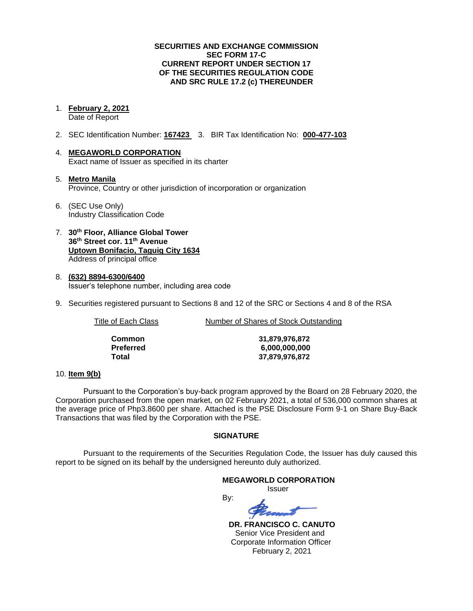## **SECURITIES AND EXCHANGE COMMISSION SEC FORM 17-C CURRENT REPORT UNDER SECTION 17 OF THE SECURITIES REGULATION CODE AND SRC RULE 17.2 (c) THEREUNDER**

#### 1. **February 2, 2021** Date of Report

- 2. SEC Identification Number: **167423** 3. BIR Tax Identification No: **000-477-103**
- 4. **MEGAWORLD CORPORATION** Exact name of Issuer as specified in its charter
- 5. **Metro Manila** Province, Country or other jurisdiction of incorporation or organization
- 6. (SEC Use Only) Industry Classification Code
- 7. **30th Floor, Alliance Global Tower 36th Street cor. 11th Avenue Uptown Bonifacio, Taguig City 1634** Address of principal office
- 8. **(632) 8894-6300/6400** Issuer's telephone number, including area code
- 9. Securities registered pursuant to Sections 8 and 12 of the SRC or Sections 4 and 8 of the RSA

Title of Each Class Number of Shares of Stock Outstanding

| Common    |
|-----------|
| Preferred |
| Total     |

**Common 31,879,976,872 Preferred 6,000,000,000 Total 37,879,976,872**

### 10. **Item 9(b)**

Pursuant to the Corporation's buy-back program approved by the Board on 28 February 2020, the Corporation purchased from the open market, on 02 February 2021, a total of 536,000 common shares at the average price of Php3.8600 per share. Attached is the PSE Disclosure Form 9-1 on Share Buy-Back Transactions that was filed by the Corporation with the PSE.

## **SIGNATURE**

Pursuant to the requirements of the Securities Regulation Code, the Issuer has duly caused this report to be signed on its behalf by the undersigned hereunto duly authorized.

## **MEGAWORLD CORPORATION**

Issuer

By:

 **DR. FRANCISCO C. CANUTO** Senior Vice President and Corporate Information Officer February 2, 2021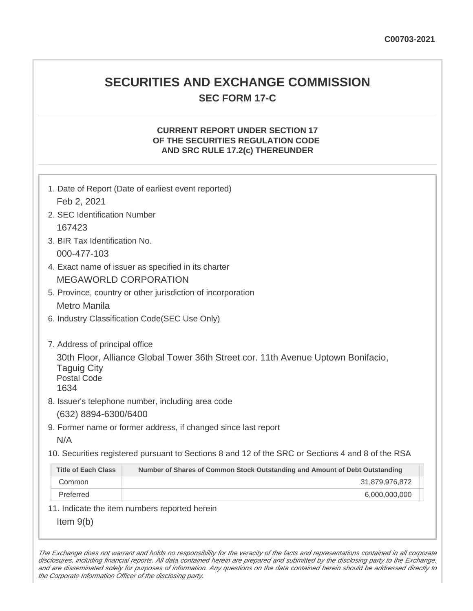## **SECURITIES AND EXCHANGE COMMISSION SEC FORM 17-C**

## **CURRENT REPORT UNDER SECTION 17 OF THE SECURITIES REGULATION CODE AND SRC RULE 17.2(c) THEREUNDER**

| 1. Date of Report (Date of earliest event reported)<br>Feb 2, 2021                                                                                                     |                                                                                                   |  |  |  |
|------------------------------------------------------------------------------------------------------------------------------------------------------------------------|---------------------------------------------------------------------------------------------------|--|--|--|
| 2. SEC Identification Number                                                                                                                                           |                                                                                                   |  |  |  |
| 167423                                                                                                                                                                 |                                                                                                   |  |  |  |
| 3. BIR Tax Identification No.                                                                                                                                          |                                                                                                   |  |  |  |
| 000-477-103                                                                                                                                                            |                                                                                                   |  |  |  |
| 4. Exact name of issuer as specified in its charter                                                                                                                    |                                                                                                   |  |  |  |
| <b>MEGAWORLD CORPORATION</b>                                                                                                                                           |                                                                                                   |  |  |  |
| 5. Province, country or other jurisdiction of incorporation                                                                                                            |                                                                                                   |  |  |  |
|                                                                                                                                                                        | Metro Manila                                                                                      |  |  |  |
|                                                                                                                                                                        | 6. Industry Classification Code(SEC Use Only)                                                     |  |  |  |
| 7. Address of principal office<br>30th Floor, Alliance Global Tower 36th Street cor. 11th Avenue Uptown Bonifacio,<br><b>Taguig City</b><br><b>Postal Code</b><br>1634 |                                                                                                   |  |  |  |
| 8. Issuer's telephone number, including area code<br>(632) 8894-6300/6400                                                                                              |                                                                                                   |  |  |  |
|                                                                                                                                                                        | 9. Former name or former address, if changed since last report                                    |  |  |  |
| N/A                                                                                                                                                                    |                                                                                                   |  |  |  |
|                                                                                                                                                                        | 10. Securities registered pursuant to Sections 8 and 12 of the SRC or Sections 4 and 8 of the RSA |  |  |  |
| <b>Title of Each Class</b>                                                                                                                                             | Number of Shares of Common Stock Outstanding and Amount of Debt Outstanding                       |  |  |  |
| Common                                                                                                                                                                 | 31,879,976,872                                                                                    |  |  |  |
| Preferred                                                                                                                                                              | 6,000,000,000                                                                                     |  |  |  |
| 11. Indicate the item numbers reported herein                                                                                                                          |                                                                                                   |  |  |  |
| Item $9(b)$                                                                                                                                                            |                                                                                                   |  |  |  |

The Exchange does not warrant and holds no responsibility for the veracity of the facts and representations contained in all corporate disclosures, including financial reports. All data contained herein are prepared and submitted by the disclosing party to the Exchange, and are disseminated solely for purposes of information. Any questions on the data contained herein should be addressed directly to the Corporate Information Officer of the disclosing party.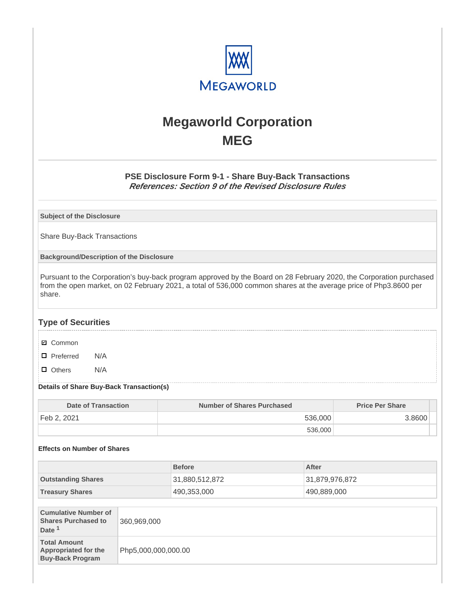

# **Megaworld Corporation MEG**

## **PSE Disclosure Form 9-1 - Share Buy-Back Transactions References: Section 9 of the Revised Disclosure Rules**

**Subject of the Disclosure**

Share Buy-Back Transactions

**Background/Description of the Disclosure**

Pursuant to the Corporation's buy-back program approved by the Board on 28 February 2020, the Corporation purchased from the open market, on 02 February 2021, a total of 536,000 common shares at the average price of Php3.8600 per share.

## **Type of Securities**

- **☑** Common
- □ Preferred N/A
- D Others N/A

#### **Details of Share Buy-Back Transaction(s)**

| Date of Transaction      | Number of Shares Purchased | <b>Price Per Share</b> |
|--------------------------|----------------------------|------------------------|
| Feb 2, 2021 <sup>!</sup> | 536,000                    | 3.8600                 |
|                          | 536,000                    |                        |

#### **Effects on Number of Shares**

|                           | <b>Before</b>  | After          |
|---------------------------|----------------|----------------|
| <b>Outstanding Shares</b> | 31,880,512,872 | 31,879,976,872 |
| <b>Treasury Shares</b>    | 490,353,000    | 490,889,000    |

| <b>Cumulative Number of</b><br><b>Shares Purchased to</b><br>Date <sup>1</sup> | 360,969,000         |
|--------------------------------------------------------------------------------|---------------------|
| <b>Total Amount</b><br><b>Appropriated for the</b><br><b>Buy-Back Program</b>  | Php5,000,000,000.00 |